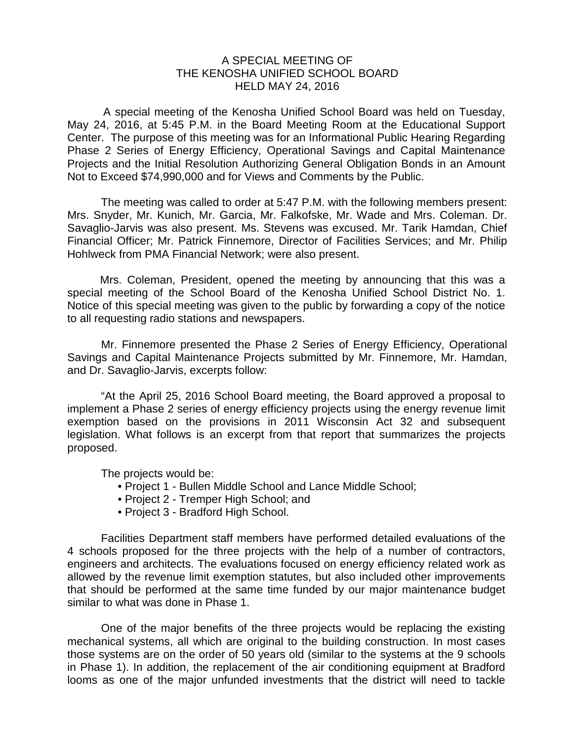## A SPECIAL MEETING OF THE KENOSHA UNIFIED SCHOOL BOARD HELD MAY 24, 2016

A special meeting of the Kenosha Unified School Board was held on Tuesday, May 24, 2016, at 5:45 P.M. in the Board Meeting Room at the Educational Support Center. The purpose of this meeting was for an Informational Public Hearing Regarding Phase 2 Series of Energy Efficiency, Operational Savings and Capital Maintenance Projects and the Initial Resolution Authorizing General Obligation Bonds in an Amount Not to Exceed \$74,990,000 and for Views and Comments by the Public.

The meeting was called to order at 5:47 P.M. with the following members present: Mrs. Snyder, Mr. Kunich, Mr. Garcia, Mr. Falkofske, Mr. Wade and Mrs. Coleman. Dr. Savaglio-Jarvis was also present. Ms. Stevens was excused. Mr. Tarik Hamdan, Chief Financial Officer; Mr. Patrick Finnemore, Director of Facilities Services; and Mr. Philip Hohlweck from PMA Financial Network; were also present.

Mrs. Coleman, President, opened the meeting by announcing that this was a special meeting of the School Board of the Kenosha Unified School District No. 1. Notice of this special meeting was given to the public by forwarding a copy of the notice to all requesting radio stations and newspapers.

Mr. Finnemore presented the Phase 2 Series of Energy Efficiency, Operational Savings and Capital Maintenance Projects submitted by Mr. Finnemore, Mr. Hamdan, and Dr. Savaglio-Jarvis, excerpts follow:

"At the April 25, 2016 School Board meeting, the Board approved a proposal to implement a Phase 2 series of energy efficiency projects using the energy revenue limit exemption based on the provisions in 2011 Wisconsin Act 32 and subsequent legislation. What follows is an excerpt from that report that summarizes the projects proposed.

The projects would be:

- Project 1 Bullen Middle School and Lance Middle School;
- Project 2 Tremper High School; and
- Project 3 Bradford High School.

Facilities Department staff members have performed detailed evaluations of the 4 schools proposed for the three projects with the help of a number of contractors, engineers and architects. The evaluations focused on energy efficiency related work as allowed by the revenue limit exemption statutes, but also included other improvements that should be performed at the same time funded by our major maintenance budget similar to what was done in Phase 1.

One of the major benefits of the three projects would be replacing the existing mechanical systems, all which are original to the building construction. In most cases those systems are on the order of 50 years old (similar to the systems at the 9 schools in Phase 1). In addition, the replacement of the air conditioning equipment at Bradford looms as one of the major unfunded investments that the district will need to tackle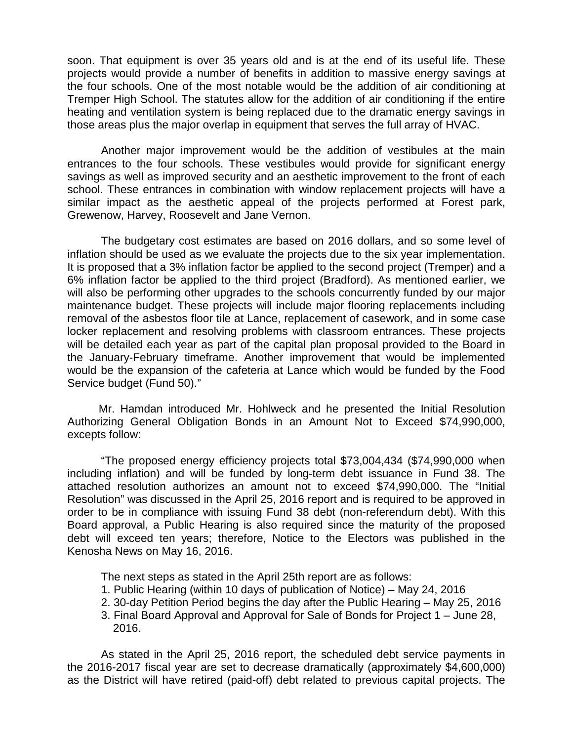soon. That equipment is over 35 years old and is at the end of its useful life. These projects would provide a number of benefits in addition to massive energy savings at the four schools. One of the most notable would be the addition of air conditioning at Tremper High School. The statutes allow for the addition of air conditioning if the entire heating and ventilation system is being replaced due to the dramatic energy savings in those areas plus the major overlap in equipment that serves the full array of HVAC.

Another major improvement would be the addition of vestibules at the main entrances to the four schools. These vestibules would provide for significant energy savings as well as improved security and an aesthetic improvement to the front of each school. These entrances in combination with window replacement projects will have a similar impact as the aesthetic appeal of the projects performed at Forest park, Grewenow, Harvey, Roosevelt and Jane Vernon.

The budgetary cost estimates are based on 2016 dollars, and so some level of inflation should be used as we evaluate the projects due to the six year implementation. It is proposed that a 3% inflation factor be applied to the second project (Tremper) and a 6% inflation factor be applied to the third project (Bradford). As mentioned earlier, we will also be performing other upgrades to the schools concurrently funded by our major maintenance budget. These projects will include major flooring replacements including removal of the asbestos floor tile at Lance, replacement of casework, and in some case locker replacement and resolving problems with classroom entrances. These projects will be detailed each year as part of the capital plan proposal provided to the Board in the January-February timeframe. Another improvement that would be implemented would be the expansion of the cafeteria at Lance which would be funded by the Food Service budget (Fund 50)."

 Mr. Hamdan introduced Mr. Hohlweck and he presented the Initial Resolution Authorizing General Obligation Bonds in an Amount Not to Exceed \$74,990,000, excepts follow:

"The proposed energy efficiency projects total \$73,004,434 (\$74,990,000 when including inflation) and will be funded by long-term debt issuance in Fund 38. The attached resolution authorizes an amount not to exceed \$74,990,000. The "Initial Resolution" was discussed in the April 25, 2016 report and is required to be approved in order to be in compliance with issuing Fund 38 debt (non-referendum debt). With this Board approval, a Public Hearing is also required since the maturity of the proposed debt will exceed ten years; therefore, Notice to the Electors was published in the Kenosha News on May 16, 2016.

The next steps as stated in the April 25th report are as follows:

- 1. Public Hearing (within 10 days of publication of Notice) May 24, 2016
- 2. 30-day Petition Period begins the day after the Public Hearing May 25, 2016
- 3. Final Board Approval and Approval for Sale of Bonds for Project 1 June 28, 2016.

As stated in the April 25, 2016 report, the scheduled debt service payments in the 2016-2017 fiscal year are set to decrease dramatically (approximately \$4,600,000) as the District will have retired (paid-off) debt related to previous capital projects. The